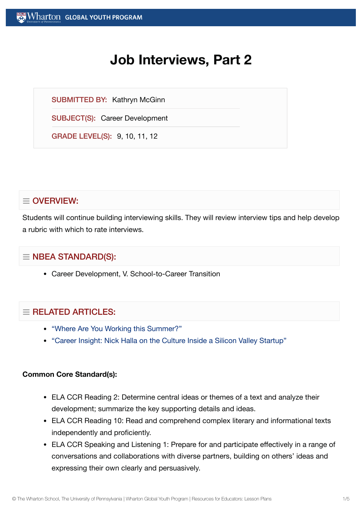# **Job Interviews, Part 2**

SUBMITTED BY: Kathryn McGinn

SUBJECT(S): Career Development

GRADE LEVEL(S): 9, 10, 11, 12

# $\equiv$  OVERVIEW:

Students will continue building interviewing skills. They will review interview tips and help develop a rubric with which to rate interviews.

# $\equiv$  NBEA STANDARD(S):

Career Development, V. School-to-Career Transition

# $=$  RELATED ARTICLES:

- "Where Are You Working [this Summer?"](https://globalyouth.wharton.upenn.edu/articles/where-are-you-working-this-summer/)
- "Career Insight: Nick Halla on the Culture Inside a Silicon [Valley Startup"](https://globalyouth.wharton.upenn.edu/articles/career-insight-nick-halla-culture-hiring-inside-silicon-valley-startup/)

## **Common Core Standard(s):**

- ELA CCR Reading 2: Determine central ideas or themes of a text and analyze their development; summarize the key supporting details and ideas.
- ELA CCR Reading 10: Read and comprehend complex literary and informational texts independently and proficiently.
- ELA CCR Speaking and Listening 1: Prepare for and participate effectively in a range of conversations and collaborations with diverse partners, building on others' ideas and expressing their own clearly and persuasively.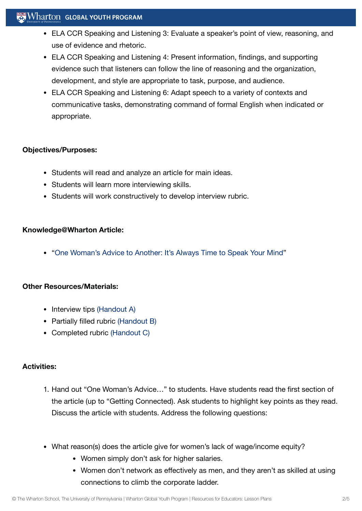## $\mathbb{R}$  Wharton Global youth program

- ELA CCR Speaking and Listening 3: Evaluate a speaker's point of view, reasoning, and use of evidence and rhetoric.
- ELA CCR Speaking and Listening 4: Present information, findings, and supporting evidence such that listeners can follow the line of reasoning and the organization, development, and style are appropriate to task, purpose, and audience.
- ELA CCR Speaking and Listening 6: Adapt speech to a variety of contexts and communicative tasks, demonstrating command of formal English when indicated or appropriate.

## **Objectives/Purposes:**

- Students will read and analyze an article for main ideas.
- Students will learn more interviewing skills.
- Students will work constructively to develop interview rubric.

#### **Knowledge@Wharton Article:**

"One [Woman's Advice](http://knowledge.wharton.upenn.edu/article.cfm?articleid=2746) to Another: It's Always Time to Speak Your Mind"

## **Other Resources/Materials:**

- Interview tips [\(Handout](https://globalyouth.wharton.upenn.edu/wp-content/uploads/2012/02/Career-Development-8_HandoutA.pdf) A)
- Partially filled rubric [\(Handout](https://globalyouth.wharton.upenn.edu/wp-content/uploads/2012/02/Career-Development-8_HandoutB.pdf) B)
- Completed rubric [\(Handout](https://globalyouth.wharton.upenn.edu/wp-content/uploads/2012/02/Career-Development-8_HandoutC.pdf) C)

#### **Activities:**

- 1. Hand out "One Woman's Advice…" to students. Have students read the first section of the article (up to "Getting Connected). Ask students to highlight key points as they read. Discuss the article with students. Address the following questions:
- What reason(s) does the article give for women's lack of wage/income equity?
	- Women simply don't ask for higher salaries.
	- Women don't network as effectively as men, and they aren't as skilled at using connections to climb the corporate ladder.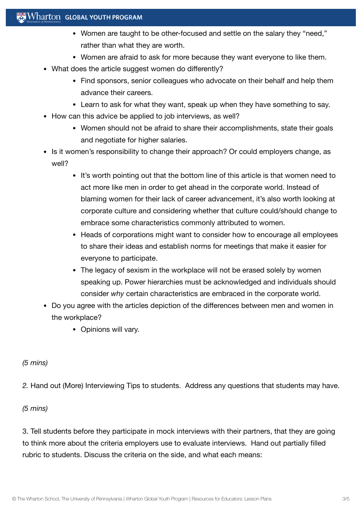- Women are taught to be other-focused and settle on the salary they "need," rather than what they are worth.
- Women are afraid to ask for more because they want everyone to like them.
- What does the article suggest women do differently?
	- Find sponsors, senior colleagues who advocate on their behalf and help them advance their careers.
	- Learn to ask for what they want, speak up when they have something to say.
- How can this advice be applied to job interviews, as well?
	- Women should not be afraid to share their accomplishments, state their goals and negotiate for higher salaries.
- Is it women's responsibility to change their approach? Or could employers change, as well?
	- It's worth pointing out that the bottom line of this article is that women need to act more like men in order to get ahead in the corporate world. Instead of blaming women for their lack of career advancement, it's also worth looking at corporate culture and considering whether that culture could/should change to embrace some characteristics commonly attributed to women.
	- Heads of corporations might want to consider how to encourage all employees to share their ideas and establish norms for meetings that make it easier for everyone to participate.
	- The legacy of sexism in the workplace will not be erased solely by women speaking up. Power hierarchies must be acknowledged and individuals should consider *why* certain characteristics are embraced in the corporate world.
- Do you agree with the articles depiction of the differences between men and women in the workplace?
	- Opinions will vary.

## *(5 mins)*

*2.* Hand out (More) Interviewing Tips to students. Address any questions that students may have.

## *(5 mins)*

3. Tell students before they participate in mock interviews with their partners, that they are going to think more about the criteria employers use to evaluate interviews. Hand out partially filled rubric to students. Discuss the criteria on the side, and what each means: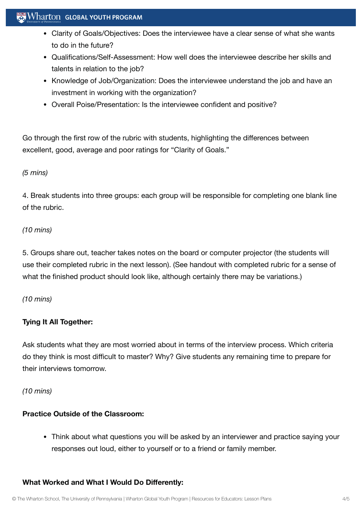## $\mathbf{W}$  Wharton Global youth program

- Clarity of Goals/Objectives: Does the interviewee have a clear sense of what she wants to do in the future?
- Qualifications/Self-Assessment: How well does the interviewee describe her skills and talents in relation to the job?
- Knowledge of Job/Organization: Does the interviewee understand the job and have an investment in working with the organization?
- Overall Poise/Presentation: Is the interviewee confident and positive?

Go through the first row of the rubric with students, highlighting the differences between excellent, good, average and poor ratings for "Clarity of Goals."

#### *(5 mins)*

4. Break students into three groups: each group will be responsible for completing one blank line of the rubric.

## *(10 mins)*

5. Groups share out, teacher takes notes on the board or computer projector (the students will use their completed rubric in the next lesson). (See handout with completed rubric for a sense of what the finished product should look like, although certainly there may be variations.)

#### *(10 mins)*

## **Tying It All Together:**

Ask students what they are most worried about in terms of the interview process. Which criteria do they think is most difficult to master? Why? Give students any remaining time to prepare for their interviews tomorrow.

*(10 mins)*

## **Practice Outside of the Classroom:**

Think about what questions you will be asked by an interviewer and practice saying your responses out loud, either to yourself or to a friend or family member.

#### **What Worked and What I Would Do Differently:**